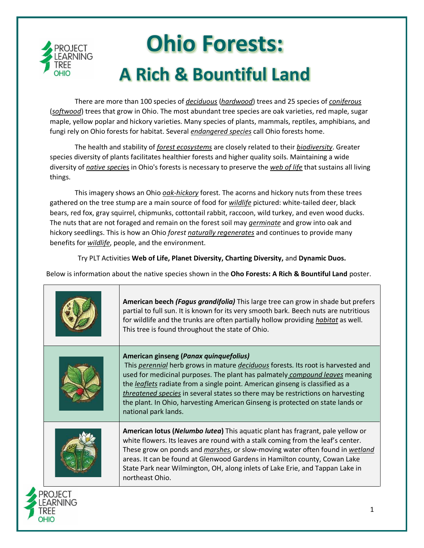

There are more than 100 species of *deciduous* (*hardwood*) trees and 25 species of *coniferous* (*softwood*) trees that grow in Ohio. The most abundant tree species are oak varieties, red maple, sugar maple, yellow poplar and hickory varieties. Many species of plants, mammals, reptiles, amphibians, and fungi rely on Ohio forests for habitat. Several *endangered species* call Ohio forests home.

The health and stability of *forest ecosystems* are closely related to their *biodiversity*. Greater species diversity of plants facilitates healthier forests and higher quality soils. Maintaining a wide diversity of *native speci*es in Ohio's forests is necessary to preserve the *web of life* that sustains all living things.

This imagery shows an Ohio *oak-hickory* forest. The acorns and hickory nuts from these trees gathered on the tree stump are a main source of food for *wildlife* pictured: white-tailed deer, black bears, red fox, gray squirrel, chipmunks, cottontail rabbit, raccoon, wild turkey, and even wood ducks. The nuts that are not foraged and remain on the forest soil may *germinate* and grow into oak and hickory seedlings. This is how an Ohio *forest naturally regenerates* and continues to provide many benefits for *wildlife*, people, and the environment.

Try PLT Activities **Web of Life, Planet Diversity, Charting Diversity,** and **Dynamic Duos.**

Below is information about the native species shown in the **Oho Forests: A Rich & Bountiful Land** poster.

|                    | American beech (Fagus grandifolia) This large tree can grow in shade but prefers<br>partial to full sun. It is known for its very smooth bark. Beech nuts are nutritious<br>for wildlife and the trunks are often partially hollow providing <i>habitat</i> as well.<br>This tree is found throughout the state of Ohio.                                                                                                                                                                 |
|--------------------|------------------------------------------------------------------------------------------------------------------------------------------------------------------------------------------------------------------------------------------------------------------------------------------------------------------------------------------------------------------------------------------------------------------------------------------------------------------------------------------|
|                    | American ginseng (Panax quinquefolius)<br>This perennial herb grows in mature deciduous forests. Its root is harvested and<br>used for medicinal purposes. The plant has palmately compound leaves meaning<br>the leaflets radiate from a single point. American ginseng is classified as a<br>threatened species in several states so there may be restrictions on harvesting<br>the plant. In Ohio, harvesting American Ginseng is protected on state lands or<br>national park lands. |
|                    | American lotus (Nelumbo lutea) This aquatic plant has fragrant, pale yellow or<br>white flowers. Its leaves are round with a stalk coming from the leaf's center.<br>These grow on ponds and marshes, or slow-moving water often found in wetland<br>areas. It can be found at Glenwood Gardens in Hamilton county, Cowan Lake<br>State Park near Wilmington, OH, along inlets of Lake Erie, and Tappan Lake in<br>northeast Ohio.                                                       |
| Project<br>EARNING |                                                                                                                                                                                                                                                                                                                                                                                                                                                                                          |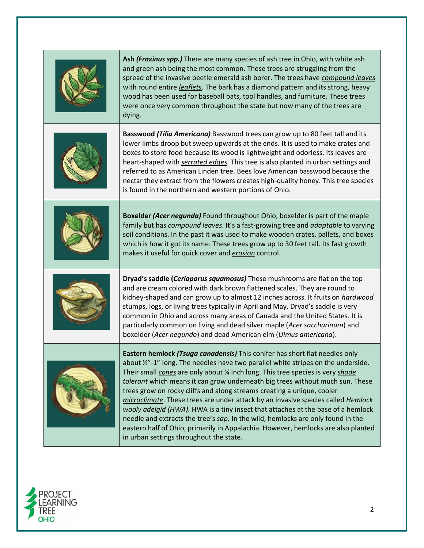| Ash (Fraxinus spp.) There are many species of ash tree in Ohio, with white ash<br>and green ash being the most common. These trees are struggling from the<br>spread of the invasive beetle emerald ash borer. The trees have compound leaves<br>with round entire leaflets. The bark has a diamond pattern and its strong, heavy<br>wood has been used for baseball bats, tool handles, and furniture. These trees<br>were once very common throughout the state but now many of the trees are<br>dying.                                                                                                                                                                                                                                                                                                 |
|-----------------------------------------------------------------------------------------------------------------------------------------------------------------------------------------------------------------------------------------------------------------------------------------------------------------------------------------------------------------------------------------------------------------------------------------------------------------------------------------------------------------------------------------------------------------------------------------------------------------------------------------------------------------------------------------------------------------------------------------------------------------------------------------------------------|
| Basswood (Tilia Americana) Basswood trees can grow up to 80 feet tall and its<br>lower limbs droop but sweep upwards at the ends. It is used to make crates and<br>boxes to store food because its wood is lightweight and odorless. Its leaves are<br>heart-shaped with serrated edges. This tree is also planted in urban settings and<br>referred to as American Linden tree. Bees love American basswood because the<br>nectar they extract from the flowers creates high-quality honey. This tree species<br>is found in the northern and western portions of Ohio.                                                                                                                                                                                                                                  |
| Boxelder (Acer negunda) Found throughout Ohio, boxelder is part of the maple<br>family but has <i>compound leaves</i> . It's a fast-growing tree and <i>adaptable</i> to varying<br>soil conditions. In the past it was used to make wooden crates, pallets, and boxes<br>which is how it got its name. These trees grow up to 30 feet tall. Its fast growth<br>makes it useful for quick cover and erosion control.                                                                                                                                                                                                                                                                                                                                                                                      |
| Dryad's saddle (Cerioporus squamosus) These mushrooms are flat on the top<br>and are cream colored with dark brown flattened scales. They are round to<br>kidney-shaped and can grow up to almost 12 inches across. It fruits on <i>hardwood</i><br>stumps, logs, or living trees typically in April and May. Dryad's saddle is very<br>common in Ohio and across many areas of Canada and the United States. It is<br>particularly common on living and dead silver maple (Acer saccharinum) and<br>boxelder (Acer negundo) and dead American elm (Ulmus americana).                                                                                                                                                                                                                                     |
| Eastern hemlock (Tsuga canadensis) This conifer has short flat needles only<br>about '/2"-1" long. The needles have two parallel white stripes on the underside.<br>Their small cones are only about 3/4 inch long. This tree species is very shade<br>tolerant which means it can grow underneath big trees without much sun. These<br>trees grow on rocky cliffs and along streams creating a unique, cooler<br>microclimate. These trees are under attack by an invasive species called Hemlock<br>wooly adelgid (HWA). HWA is a tiny insect that attaches at the base of a hemlock<br>needle and extracts the tree's sap. In the wild, hemlocks are only found in the<br>eastern half of Ohio, primarily in Appalachia. However, hemlocks are also planted<br>in urban settings throughout the state. |

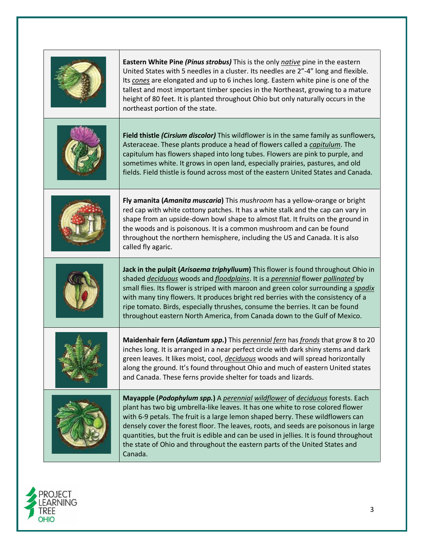| Eastern White Pine (Pinus strobus) This is the only native pine in the eastern<br>United States with 5 needles in a cluster. Its needles are 2"-4" long and flexible.<br>Its cones are elongated and up to 6 inches long. Eastern white pine is one of the<br>tallest and most important timber species in the Northeast, growing to a mature<br>height of 80 feet. It is planted throughout Ohio but only naturally occurs in the<br>northeast portion of the state.                                                         |
|-------------------------------------------------------------------------------------------------------------------------------------------------------------------------------------------------------------------------------------------------------------------------------------------------------------------------------------------------------------------------------------------------------------------------------------------------------------------------------------------------------------------------------|
| Field thistle (Cirsium discolor) This wildflower is in the same family as sunflowers,<br>Asteraceae. These plants produce a head of flowers called a capitulum. The<br>capitulum has flowers shaped into long tubes. Flowers are pink to purple, and<br>sometimes white. It grows in open land, especially prairies, pastures, and old<br>fields. Field thistle is found across most of the eastern United States and Canada.                                                                                                 |
| Fly amanita (Amanita muscaria) This mushroom has a yellow-orange or bright<br>red cap with white cottony patches. It has a white stalk and the cap can vary in<br>shape from an upside-down bowl shape to almost flat. It fruits on the ground in<br>the woods and is poisonous. It is a common mushroom and can be found<br>throughout the northern hemisphere, including the US and Canada. It is also<br>called fly agaric.                                                                                                |
| Jack in the pulpit (Arisaema triphylluum) This flower is found throughout Ohio in<br>shaded deciduous woods and floodplains. It is a perennial flower pollinated by<br>small flies. Its flower is striped with maroon and green color surrounding a spadix<br>with many tiny flowers. It produces bright red berries with the consistency of a<br>ripe tomato. Birds, especially thrushes, consume the berries. It can be found<br>throughout eastern North America, from Canada down to the Gulf of Mexico.                  |
| Maidenhair fern (Adiantum spp.) This perennial fern has fronds that grow 8 to 20<br>inches long. It is arranged in a near perfect circle with dark shiny stems and dark<br>green leaves. It likes moist, cool, <i>deciduous</i> woods and will spread horizontally<br>along the ground. It's found throughout Ohio and much of eastern United states<br>and Canada. These ferns provide shelter for toads and lizards.                                                                                                        |
| Mayapple (Podophylum spp.) A perennial wildflower of deciduous forests. Each<br>plant has two big umbrella-like leaves. It has one white to rose colored flower<br>with 6-9 petals. The fruit is a large lemon shaped berry. These wildflowers can<br>densely cover the forest floor. The leaves, roots, and seeds are poisonous in large<br>quantities, but the fruit is edible and can be used in jellies. It is found throughout<br>the state of Ohio and throughout the eastern parts of the United States and<br>Canada. |

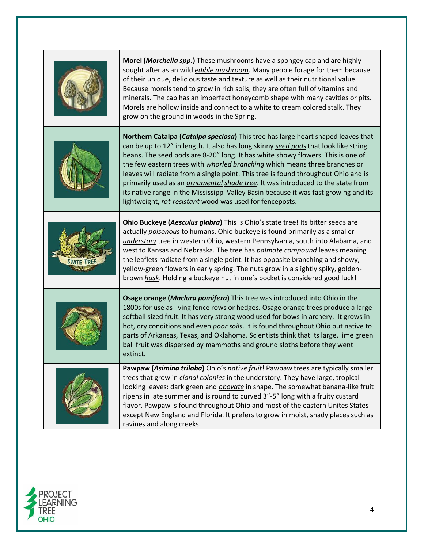| Morel (Morchella spp.) These mushrooms have a spongey cap and are highly<br>sought after as an wild <i>edible mushroom</i> . Many people forage for them because<br>of their unique, delicious taste and texture as well as their nutritional value.<br>Because morels tend to grow in rich soils, they are often full of vitamins and<br>minerals. The cap has an imperfect honeycomb shape with many cavities or pits.<br>Morels are hollow inside and connect to a white to cream colored stalk. They<br>grow on the ground in woods in the Spring.                                                                                                                        |
|-------------------------------------------------------------------------------------------------------------------------------------------------------------------------------------------------------------------------------------------------------------------------------------------------------------------------------------------------------------------------------------------------------------------------------------------------------------------------------------------------------------------------------------------------------------------------------------------------------------------------------------------------------------------------------|
| Northern Catalpa (Catalpa speciosa) This tree has large heart shaped leaves that<br>can be up to 12" in length. It also has long skinny seed pods that look like string<br>beans. The seed pods are 8-20" long. It has white showy flowers. This is one of<br>the few eastern trees with whorled branching which means three branches or<br>leaves will radiate from a single point. This tree is found throughout Ohio and is<br>primarily used as an <i>ornamental shade tree</i> . It was introduced to the state from<br>its native range in the Mississippi Valley Basin because it was fast growing and its<br>lightweight, rot-resistant wood was used for fenceposts. |
| Ohio Buckeye (Aesculus glabra) This is Ohio's state tree! Its bitter seeds are<br>actually poisonous to humans. Ohio buckeye is found primarily as a smaller<br>understory tree in western Ohio, western Pennsylvania, south into Alabama, and<br>west to Kansas and Nebraska. The tree has <i>palmate compound</i> leaves meaning<br>the leaflets radiate from a single point. It has opposite branching and showy,<br>yellow-green flowers in early spring. The nuts grow in a slightly spiky, golden-<br>brown husk. Holding a buckeye nut in one's pocket is considered good luck!                                                                                        |
| Osage orange (Maclura pomifera) This tree was introduced into Ohio in the<br>1800s for use as living fence rows or hedges. Osage orange trees produce a large<br>softball sized fruit. It has very strong wood used for bows in archery. It grows in<br>hot, dry conditions and even poor soils. It is found throughout Ohio but native to<br>parts of Arkansas, Texas, and Oklahoma. Scientists think that its large, lime green<br>ball fruit was dispersed by mammoths and ground sloths before they went<br>extinct.                                                                                                                                                      |
| Pawpaw (Asimina triloba) Ohio's native fruit! Pawpaw trees are typically smaller<br>trees that grow in <i>clonal colonies</i> in the understory. They have large, tropical-<br>looking leaves: dark green and <i>obovate</i> in shape. The somewhat banana-like fruit<br>ripens in late summer and is round to curved 3"-5" long with a fruity custard<br>flavor. Pawpaw is found throughout Ohio and most of the eastern Unites States<br>except New England and Florida. It prefers to grow in moist, shady places such as<br>ravines and along creeks.                                                                                                                     |

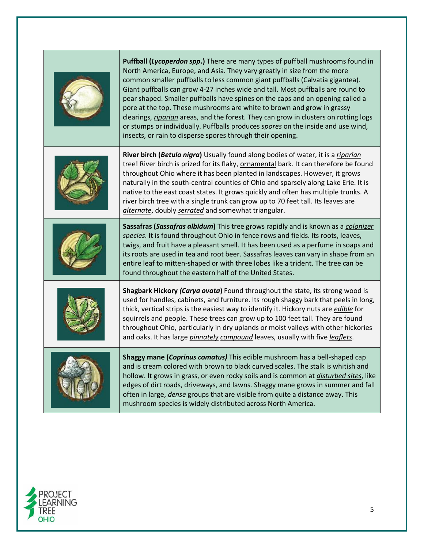| Puffball (Lycoperdon spp.) There are many types of puffball mushrooms found in<br>North America, Europe, and Asia. They vary greatly in size from the more<br>common smaller puffballs to less common giant puffballs (Calvatia gigantea).<br>Giant puffballs can grow 4-27 inches wide and tall. Most puffballs are round to<br>pear shaped. Smaller puffballs have spines on the caps and an opening called a<br>pore at the top. These mushrooms are white to brown and grow in grassy<br>clearings, riparian areas, and the forest. They can grow in clusters on rotting logs<br>or stumps or individually. Puffballs produces spores on the inside and use wind,<br>insects, or rain to disperse spores through their opening. |
|-------------------------------------------------------------------------------------------------------------------------------------------------------------------------------------------------------------------------------------------------------------------------------------------------------------------------------------------------------------------------------------------------------------------------------------------------------------------------------------------------------------------------------------------------------------------------------------------------------------------------------------------------------------------------------------------------------------------------------------|
| River birch (Betula nigra) Usually found along bodies of water, it is a riparian<br>tree! River birch is prized for its flaky, ornamental bark. It can therefore be found<br>throughout Ohio where it has been planted in landscapes. However, it grows<br>naturally in the south-central counties of Ohio and sparsely along Lake Erie. It is<br>native to the east coast states. It grows quickly and often has multiple trunks. A<br>river birch tree with a single trunk can grow up to 70 feet tall. Its leaves are<br>alternate, doubly serrated and somewhat triangular.                                                                                                                                                     |
| Sassafras (Sassafras albidum) This tree grows rapidly and is known as a colonizer<br>species. It is found throughout Ohio in fence rows and fields. Its roots, leaves,<br>twigs, and fruit have a pleasant smell. It has been used as a perfume in soaps and<br>its roots are used in tea and root beer. Sassafras leaves can vary in shape from an<br>entire leaf to mitten-shaped or with three lobes like a trident. The tree can be<br>found throughout the eastern half of the United States.                                                                                                                                                                                                                                  |
| Shagbark Hickory (Carya ovata) Found throughout the state, its strong wood is<br>used for handles, cabinets, and furniture. Its rough shaggy bark that peels in long,<br>thick, vertical strips is the easiest way to identify it. Hickory nuts are <i>edible</i> for<br>squirrels and people. These trees can grow up to 100 feet tall. They are found<br>throughout Ohio, particularly in dry uplands or moist valleys with other hickories<br>and oaks. It has large <i>pinnately compound</i> leaves, usually with five <i>leaflets</i> .                                                                                                                                                                                       |
| Shaggy mane (Coprinus comatus) This edible mushroom has a bell-shaped cap<br>and is cream colored with brown to black curved scales. The stalk is whitish and<br>hollow. It grows in grass, or even rocky soils and is common at disturbed sites, like<br>edges of dirt roads, driveways, and lawns. Shaggy mane grows in summer and fall<br>often in large, <i>dense</i> groups that are visible from quite a distance away. This<br>mushroom species is widely distributed across North America.                                                                                                                                                                                                                                  |

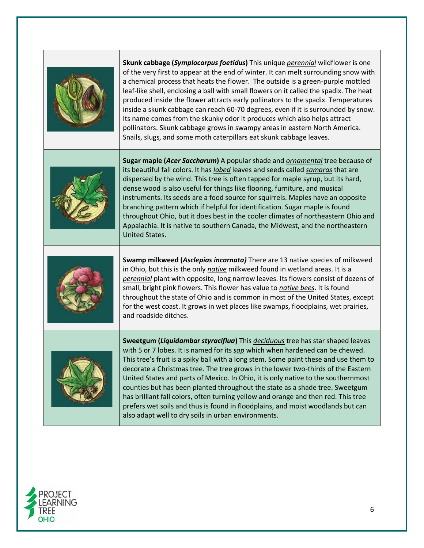| Skunk cabbage (Symplocarpus foetidus) This unique perennial wildflower is one<br>of the very first to appear at the end of winter. It can melt surrounding snow with<br>a chemical process that heats the flower. The outside is a green-purple mottled<br>leaf-like shell, enclosing a ball with small flowers on it called the spadix. The heat<br>produced inside the flower attracts early pollinators to the spadix. Temperatures<br>inside a skunk cabbage can reach 60-70 degrees, even if it is surrounded by snow.<br>Its name comes from the skunky odor it produces which also helps attract<br>pollinators. Skunk cabbage grows in swampy areas in eastern North America.<br>Snails, slugs, and some moth caterpillars eat skunk cabbage leaves. |
|--------------------------------------------------------------------------------------------------------------------------------------------------------------------------------------------------------------------------------------------------------------------------------------------------------------------------------------------------------------------------------------------------------------------------------------------------------------------------------------------------------------------------------------------------------------------------------------------------------------------------------------------------------------------------------------------------------------------------------------------------------------|
| Sugar maple (Acer Saccharum) A popular shade and <b>ornamental</b> tree because of<br>its beautiful fall colors. It has <i>lobed</i> leaves and seeds called samaras that are<br>dispersed by the wind. This tree is often tapped for maple syrup, but its hard,<br>dense wood is also useful for things like flooring, furniture, and musical<br>instruments. Its seeds are a food source for squirrels. Maples have an opposite<br>branching pattern which if helpful for identification. Sugar maple is found<br>throughout Ohio, but it does best in the cooler climates of northeastern Ohio and<br>Appalachia. It is native to southern Canada, the Midwest, and the northeastern<br><b>United States.</b>                                             |
| Swamp milkweed (Asclepias incarnata) There are 13 native species of milkweed<br>in Ohio, but this is the only native milkweed found in wetland areas. It is a<br>perennial plant with opposite, long narrow leaves. Its flowers consist of dozens of<br>small, bright pink flowers. This flower has value to native bees. It is found<br>throughout the state of Ohio and is common in most of the United States, except<br>for the west coast. It grows in wet places like swamps, floodplains, wet prairies,<br>and roadside ditches.                                                                                                                                                                                                                      |
| Sweetgum (Liquidambar styraciflua) This deciduous tree has star shaped leaves<br>with 5 or 7 lobes. It is named for its sap which when hardened can be chewed.<br>This tree's fruit is a spiky ball with a long stem. Some paint these and use them to<br>decorate a Christmas tree. The tree grows in the lower two-thirds of the Eastern<br>United States and parts of Mexico. In Ohio, it is only native to the southernmost<br>counties but has been planted throughout the state as a shade tree. Sweetgum<br>has brilliant fall colors, often turning yellow and orange and then red. This tree<br>prefers wet soils and thus is found in floodplains, and moist woodlands but can<br>also adapt well to dry soils in urban environments.              |

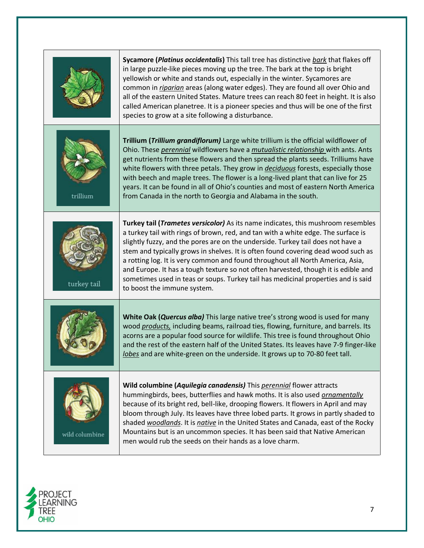|                | Sycamore (Platinus occidentalis) This tall tree has distinctive bark that flakes off<br>in large puzzle-like pieces moving up the tree. The bark at the top is bright<br>yellowish or white and stands out, especially in the winter. Sycamores are<br>common in riparian areas (along water edges). They are found all over Ohio and<br>all of the eastern United States. Mature trees can reach 80 feet in height. It is also<br>called American planetree. It is a pioneer species and thus will be one of the first<br>species to grow at a site following a disturbance.                                                             |
|----------------|-------------------------------------------------------------------------------------------------------------------------------------------------------------------------------------------------------------------------------------------------------------------------------------------------------------------------------------------------------------------------------------------------------------------------------------------------------------------------------------------------------------------------------------------------------------------------------------------------------------------------------------------|
| trillium       | Trillium (Trillium grandiflorum) Large white trillium is the official wildflower of<br>Ohio. These perennial wildflowers have a mutualistic relationship with ants. Ants<br>get nutrients from these flowers and then spread the plants seeds. Trilliums have<br>white flowers with three petals. They grow in deciduous forests, especially those<br>with beech and maple trees. The flower is a long-lived plant that can live for 25<br>years. It can be found in all of Ohio's counties and most of eastern North America<br>from Canada in the north to Georgia and Alabama in the south.                                            |
| turkey tail    | Turkey tail (Trametes versicolor) As its name indicates, this mushroom resembles<br>a turkey tail with rings of brown, red, and tan with a white edge. The surface is<br>slightly fuzzy, and the pores are on the underside. Turkey tail does not have a<br>stem and typically grows in shelves. It is often found covering dead wood such as<br>a rotting log. It is very common and found throughout all North America, Asia,<br>and Europe. It has a tough texture so not often harvested, though it is edible and<br>sometimes used in teas or soups. Turkey tail has medicinal properties and is said<br>to boost the immune system. |
|                | White Oak (Quercus alba) This large native tree's strong wood is used for many<br>wood products, including beams, railroad ties, flowing, furniture, and barrels. Its<br>acorns are a popular food source for wildlife. This tree is found throughout Ohio<br>and the rest of the eastern half of the United States. Its leaves have 7-9 finger-like<br>lobes and are white-green on the underside. It grows up to 70-80 feet tall.                                                                                                                                                                                                       |
| wild columbine | Wild columbine (Aquilegia canadensis) This perennial flower attracts<br>hummingbirds, bees, butterflies and hawk moths. It is also used ornamentally<br>because of its bright red, bell-like, drooping flowers. It flowers in April and may<br>bloom through July. Its leaves have three lobed parts. It grows in partly shaded to<br>shaded woodlands. It is native in the United States and Canada, east of the Rocky<br>Mountains but is an uncommon species. It has been said that Native American<br>men would rub the seeds on their hands as a love charm.                                                                         |

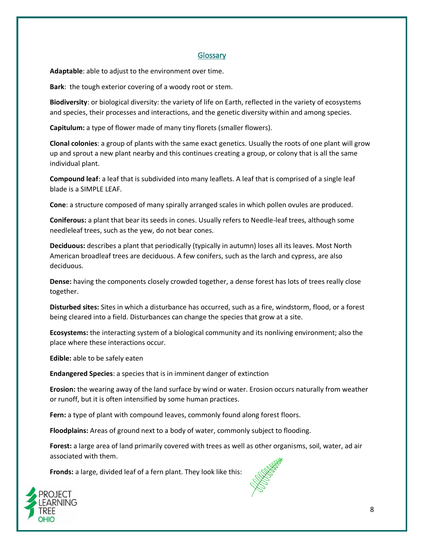## **Glossary**

**Adaptable**: able to adjust to the environment over time.

**Bark**: the tough exterior covering of a woody root or stem.

**Biodiversity**: or biological diversity: the variety of life on Earth, reflected in the variety of ecosystems and species, their processes and interactions, and the genetic diversity within and among species.

**Capitulum:** a type of flower made of many tiny florets (smaller flowers).

**Clonal colonies**: a group of plants with the same exact genetics. Usually the roots of one plant will grow up and sprout a new plant nearby and this continues creating a group, or colony that is all the same individual plant.

**Compound leaf**: a leaf that is subdivided into many leaflets. A leaf that is comprised of a single leaf blade is a SIMPLE LEAF.

**Cone**: a structure composed of many spirally arranged scales in which pollen ovules are produced.

**Coniferous:** a plant that bear its seeds in cones. Usually refers to Needle-leaf trees, although some needleleaf trees, such as the yew, do not bear cones.

**Deciduous:** describes a plant that periodically (typically in autumn) loses all its leaves. Most North American broadleaf trees are deciduous. A few conifers, such as the larch and cypress, are also deciduous.

**Dense:** having the components closely crowded together, a dense forest has lots of trees really close together.

**Disturbed sites:** Sites in which a disturbance has occurred, such as a fire, windstorm, flood, or a forest being cleared into a field. Disturbances can change the species that grow at a site.

**Ecosystems:** the interacting system of a biological community and its nonliving environment; also the place where these interactions occur.

**Edible:** able to be safely eaten

**Endangered Species**: a species that is in imminent danger of extinction

**Erosion:** the wearing away of the land surface by wind or water. Erosion occurs naturally from weather or runoff, but it is often intensified by some human practices.

Fern: a type of plant with compound leaves, commonly found along forest floors.

**Floodplains:** Areas of ground next to a body of water, commonly subject to flooding.

**Forest:** a large area of land primarily covered with trees as well as other organisms, soil, water, ad air associated with them.

**Fronds:** a large, divided leaf of a fern plant. They look like this:



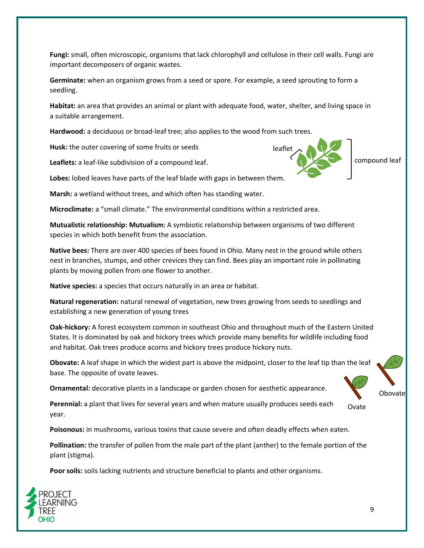**Fungi:** small, often microscopic, organisms that lack chlorophyll and cellulose in their cell walls. Fungi are important decomposers of organic wastes.

**Germinate:** when an organism grows from a seed or spore. For example, a seed sprouting to form a seedling.

**Habitat:** an area that provides an animal or plant with adequate food, water, shelter, and living space in a suitable arrangement.

**Hardwood:** a deciduous or broad-leaf tree; also applies to the wood from such trees.

**Husk:** the outer covering of some fruits or seeds

**Leaflets:** a leaf-like subdivision of a compound leaf.

**Lobes:** lobed leaves have parts of the leaf blade with gaps in between them.

**Marsh:** a wetland without trees, and which often has standing water.

**Microclimate:** a "small climate." The environmental conditions within a restricted area.

**Mutualistic relationship: Mutualism:** A symbiotic relationship between organisms of two different species in which both benefit from the association.

**Native bees:** There are over 400 species of bees found in Ohio. Many nest in the ground while others nest in branches, stumps, and other crevices they can find. Bees play an important role in pollinating plants by moving pollen from one flower to another.

**Native species:** a species that occurs naturally in an area or habitat.

**Natural regeneration:** natural renewal of vegetation, new trees growing from seeds to seedlings and establishing a new generation of young trees

**Oak-hickory:** A forest ecosystem common in southeast Ohio and throughout much of the Eastern United States. It is dominated by oak and hickory trees which provide many benefits for wildlife including food and habitat. Oak trees produce acorns and hickory trees produce hickory nuts.

**Obovate:** A leaf shape in which the widest part is above the midpoint, closer to the leaf tip than the leaf base. The opposite of ovate leaves.

**Ornamental:** decorative plants in a landscape or garden chosen for aesthetic appearance.

**Perennial:** a plant that lives for several years and when mature usually produces seeds each year. Ovate

**Poisonous:** in mushrooms, various toxins that cause severe and often deadly effects when eaten.

**Pollination:** the transfer of pollen from the male part of the plant (anther) to the female portion of the plant (stigma).

**Poor soils:** soils lacking nutrients and structure beneficial to plants and other organisms.







compound leaf

9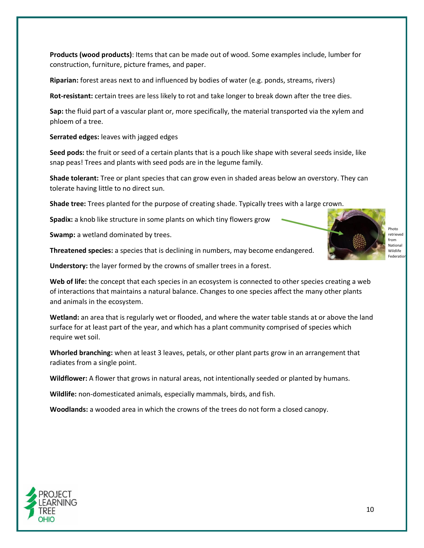**Products (wood products)**: Items that can be made out of wood. Some examples include, lumber for construction, furniture, picture frames, and paper.

**Riparian:** forest areas next to and influenced by bodies of water (e.g. ponds, streams, rivers)

**Rot-resistant:** certain trees are less likely to rot and take longer to break down after the tree dies.

**Sap:** the fluid part of a vascular plant or, more specifically, the material transported via the xylem and phloem of a tree.

**Serrated edges:** leaves with jagged edges

**Seed pods:** the fruit or seed of a certain plants that is a pouch like shape with several seeds inside, like snap peas! Trees and plants with seed pods are in the legume family.

**Shade tolerant:** Tree or plant species that can grow even in shaded areas below an overstory. They can tolerate having little to no direct sun.

**Shade tree:** Trees planted for the purpose of creating shade. Typically trees with a large crown.

**Spadix:** a knob like structure in some plants on which tiny flowers grow

**Swamp:** a wetland dominated by trees.

**Threatened species:** a species that is declining in numbers, may become endangered.

**Understory:** the layer formed by the crowns of smaller trees in a forest.

Web of life: the concept that each species in an ecosystem is connected to other species creating a web of interactions that maintains a natural balance. Changes to one species affect the many other plants and animals in the ecosystem.

**Wetland:** an area that is regularly wet or flooded, and where the water table stands at or above the land surface for at least part of the year, and which has a plant community comprised of species which require wet soil.

**Whorled branching:** when at least 3 leaves, petals, or other plant parts grow in an arrangement that radiates from a single point.

**Wildflower:** A flower that grows in natural areas, not intentionally seeded or planted by humans.

**Wildlife:** non-domesticated animals, especially mammals, birds, and fish.

**Woodlands:** a wooded area in which the crowns of the trees do not form a closed canopy.